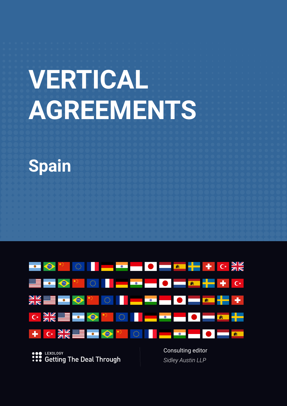# **VERTICAL AGREEMENTS**





**SOP LEXOLOGY**<br> **••••** Getting The Deal Through

*Sidley Austin LLP*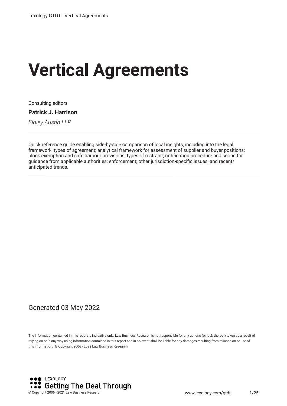# **Vertical Agreements**

Consulting editors

**Patrick J. Harrison**

*Sidley Austin LLP*

Quick reference guide enabling side-by-side comparison of local insights, including into the legal framework; types of agreement; analytical framework for assessment of supplier and buyer positions; block exemption and safe harbour provisions; types of restraint; notifcation procedure and scope for guidance from applicable authorities; enforcement; other jurisdiction-specifc issues; and recent/ anticipated trends.

#### Generated 03 May 2022

The information contained in this report is indicative only. Law Business Research is not responsible for any actions (or lack thereof) taken as a result of relying on or in any way using information contained in this report and in no event shall be liable for any damages resulting from reliance on or use of this information. © Copyright 2006 - 2022 Law Business Research

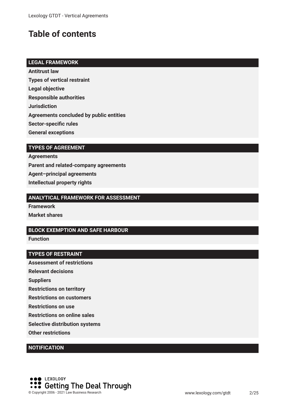# **Table of contents**

#### **LEGAL FRAMEWORK**

**Antitrust law Types of vertical restraint**

**Legal objective**

**Responsible authorities**

**Jurisdiction**

**Agreements concluded by public entities**

**Sector-specifc rules**

**General exceptions**

#### **TYPES OF AGREEMENT**

**Agreements Parent and related-company agreements Agent–principal agreements Intellectual property rights**

#### **ANALYTICAL FRAMEWORK FOR ASSESSMENT**

**Framework Market shares**

#### **BLOCK EXEMPTION AND SAFE HARBOUR**

**Function**

#### **TYPES OF RESTRAINT**

**Assessment of restrictions**

**Relevant decisions**

**Suppliers**

**Restrictions on territory**

**Restrictions on customers**

**Restrictions on use**

**Restrictions on online sales**

**Selective distribution systems**

**Other restrictions**

#### **NOTIFICATION**

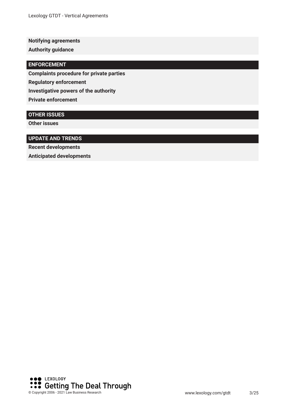**Notifying agreements**

**Authority guidance**

#### **ENFORCEMENT**

**Complaints procedure for private parties**

**Regulatory enforcement**

**Investigative powers of the authority**

**Private enforcement**

#### **OTHER ISSUES**

**Other issues**

#### **UPDATE AND TRENDS**

**Recent developments**

**Anticipated developments**

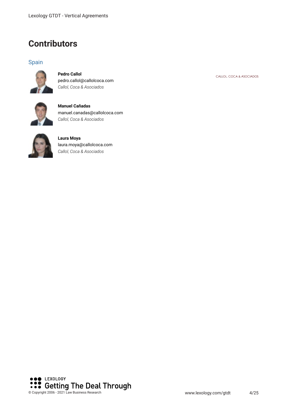### **Contributors**

#### Spain



**Pedro Callol** pedro.callol@callolcoca.com *Callol, Coca & Asociados*



**Manuel Cañadas** manuel.canadas@callolcoca.com *Callol, Coca & Asociados*



**Laura Moya** laura.moya@callolcoca.com *Callol, Coca & Asociados*



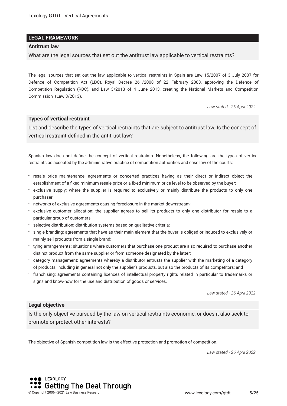#### **LEGAL FRAMEWORK**

#### **Antitrust law**

What are the legal sources that set out the antitrust law applicable to vertical restraints?

The legal sources that set out the law applicable to vertical restraints in Spain are Law 15/2007 of 3 July 2007 for Defence of Competition Act (LDC), Royal Decree 261/2008 of 22 February 2008, approving the Defence of Competition Regulation (RDC), and Law 3/2013 of 4 June 2013, creating the National Markets and Competition Commission (Law 3/2013).

*Law stated - 26 April 2022*

#### **Types of vertical restraint**

List and describe the types of vertical restraints that are subject to antitrust law. Is the concept of vertical restraint defned in the antitrust law?

Spanish law does not defne the concept of vertical restraints. Nonetheless, the following are the types of vertical restraints as accepted by the administrative practice of competition authorities and case law of the courts:

- resale price maintenance: agreements or concerted practices having as their direct or indirect object the establishment of a fxed minimum resale price or a fxed minimum price level to be observed by the buyer;
- exclusive supply: where the supplier is required to exclusively or mainly distribute the products to only one purchaser;
- networks of exclusive agreements causing foreclosure in the market downstream;
- exclusive customer allocation: the supplier agrees to sell its products to only one distributor for resale to a particular group of customers;
- selective distribution: distribution systems based on qualitative criteria;
- single branding: agreements that have as their main element that the buyer is obliged or induced to exclusively or mainly sell products from a single brand;
- tying arrangements: situations where customers that purchase one product are also required to purchase another distinct product from the same supplier or from someone designated by the latter;
- category management: agreements whereby a distributor entrusts the supplier with the marketing of a category of products, including in general not only the supplier's products, but also the products of its competitors; and
- franchising: agreements containing licences of intellectual property rights related in particular to trademarks or signs and know-how for the use and distribution of goods or services.

*Law stated - 26 April 2022*

#### **Legal objective**

Is the only objective pursued by the law on vertical restraints economic, or does it also seek to promote or protect other interests?

The objective of Spanish competition law is the effective protection and promotion of competition.

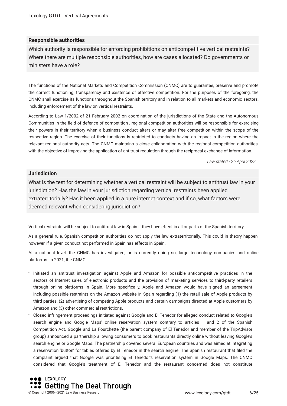#### **Responsible authorities**

Which authority is responsible for enforcing prohibitions on anticompetitive vertical restraints? Where there are multiple responsible authorities, how are cases allocated? Do governments or ministers have a role?

The functions of the National Markets and Competition Commission (CNMC) are to guarantee, preserve and promote the correct functioning, transparency and existence of effective competition. For the purposes of the foregoing, the CNMC shall exercise its functions throughout the Spanish territory and in relation to all markets and economic sectors, including enforcement of the law on vertical restraints.

According to Law 1/2002 of 21 February 2002 on coordination of the jurisdictions of the State and the Autonomous Communities in the feld of defence of competition , regional competition authorities will be responsible for exercising their powers in their territory when a business conduct alters or may alter free competition within the scope of the respective region. The exercise of their functions is restricted to conducts having an impact in the region where the relevant regional authority acts. The CNMC maintains a close collaboration with the regional competition authorities, with the objective of improving the application of antitrust regulation through the reciprocal exchange of information.

*Law stated - 26 April 2022*

#### **Jurisdiction**

What is the test for determining whether a vertical restraint will be subject to antitrust law in your jurisdiction? Has the law in your jurisdiction regarding vertical restraints been applied extraterritorially? Has it been applied in a pure internet context and if so, what factors were deemed relevant when considering jurisdiction?

Vertical restraints will be subject to antitrust law in Spain if they have effect in all or parts of the Spanish territory.

As a general rule, Spanish competition authorities do not apply the law extraterritorially. This could in theory happen, however, if a given conduct not performed in Spain has effects in Spain.

At a national level, the CNMC has investigated, or is currently doing so, large technology companies and online platforms. In 2021, the CNMC:

- Initiated an antitrust investigation against Apple and Amazon for possible anticompetitive practices in the sectors of Internet sales of electronic products and the provision of marketing services to third-party retailers through online platforms in Spain. More specifcally, Apple and Amazon would have signed an agreement including possible restraints on the Amazon website in Spain regarding (1) the retail sale of Apple products by third parties, (2) advertising of competing Apple products and certain campaigns directed at Apple customers by Amazon and (3) other commercial restrictions.
- Closed infringement proceedings initiated against Google and El Tenedor for alleged conduct related to Google's search engine and Google Maps' online reservation system contrary to articles 1 and 2 of the Spanish Competition Act. Google and La Fourchette (the parent company of El Tenedor and member of the TripAdvisor group) announced a partnership allowing consumers to book restaurants directly online without leaving Google's search engine or Google Maps. The partnership covered several European countries and was aimed at integrating a reservation 'button' for tables offered by El Tenedor in the search engine. The Spanish restaurant that fled the complaint argued that Google was prioritising El Tenedor's reservation system in Google Maps. The CNMC considered that Google's treatment of El Tenedor and the restaurant concerned does not constitute

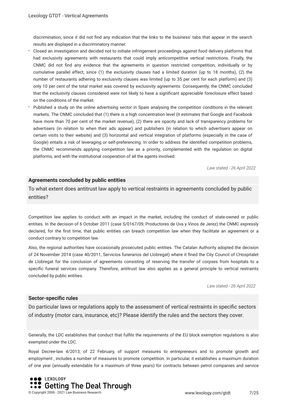discrimination, since it did not fnd any indication that the links to the business' tabs that appear in the search results are displayed in a discriminatory manner.

- Closed an investigation and decided not to initiate infringement proceedings against food delivery platforms that had exclusivity agreements with restaurants that could imply anticompetitive vertical restrictions. Finally, the CNMC did not fnd any evidence that the agreements in question restricted competition, individually or by cumulative parallel effect, since (1) the exclusivity clauses had a limited duration (up to 18 months), (2) the number of restaurants adhering to exclusivity clauses was limited (up to 35 per cent for each platform) and (3) only 10 per cent of the total market was covered by exclusivity agreements. Consequently, the CNMC concluded that the exclusivity clauses considered were not likely to have a signifcant appreciable foreclosure effect based on the conditions of the market.
- Published a study on the online advertising sector in Spain analysing the competition conditions in the relevant markets. The CNMC concluded that (1) there is a high concentration level (it estimates that Google and Facebook have more than 70 per cent of the market revenue), (2) there are opacity and lack of transparency problems for advertisers (in relation to when their ads appear) and publishers (in relation to which advertisers appear on certain visits to their website) and (3) horizontal and vertical integration of platforms (especially in the case of Google) entails a risk of leveraging or self-preferencing. In order to address the identifed competition problems, the CNMC recommends applying competition law as a priority, complemented with the regulation on digital platforms, and with the institutional cooperation of all the agents involved.

*Law stated - 26 April 2022*

#### **Agreements concluded by public entities**

To what extent does antitrust law apply to vertical restraints in agreements concluded by public entities?

Competition law applies to conduct with an impact in the market, including the conduct of state-owned or public entities. In the decision of 6 October 2011 (case S/0167/09, Productores de Uva y Vinos de Jerez) the CNMC expressly declared, for the frst time, that public entities can breach competition law when they facilitate an agreement or a conduct contrary to competition law.

Also, the regional authorities have occasionally prosecuted public entities. The Catalan Authority adopted the decision of 24 November 2014 (case 40/2011, Servicios funerarios del Llobregat) where it fned the City Council of L'Hospitalet de Llobregat for the conclusion of agreements consisting of reserving the transfer of corpses from hospitals to a specifc funeral services company. Therefore, antitrust law also applies as a general principle to vertical restraints concluded by public entities.

*Law stated - 26 April 2022*

#### **Sector-specifc rules**

Do particular laws or regulations apply to the assessment of vertical restraints in specifc sectors of industry (motor cars, insurance, etc)? Please identify the rules and the sectors they cover.

Generally, the LDC establishes that conduct that fulfls the requirements of the EU block exemption regulations is also exempted under the LDC.

Royal Decree-law 4/2013, of 22 February, of support measures to entrepreneurs and to promote growth and employment , includes a number of measures to promote competition. In particular, it establishes a maximum duration of one year (annually extendable for a maximum of three years) for contracts between petrol companies and service

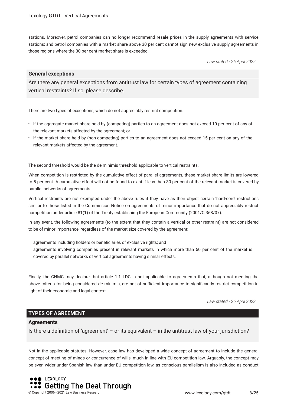stations. Moreover, petrol companies can no longer recommend resale prices in the supply agreements with service stations; and petrol companies with a market share above 30 per cent cannot sign new exclusive supply agreements in those regions where the 30 per cent market share is exceeded.

*Law stated - 26 April 2022*

#### **General exceptions**

Are there any general exceptions from antitrust law for certain types of agreement containing vertical restraints? If so, please describe.

There are two types of exceptions, which do not appreciably restrict competition:

- if the aggregate market share held by (competing) parties to an agreement does not exceed 10 per cent of any of the relevant markets affected by the agreement; or
- if the market share held by (non-competing) parties to an agreement does not exceed 15 per cent on any of the relevant markets affected by the agreement.

The second threshold would be the de minimis threshold applicable to vertical restraints.

When competition is restricted by the cumulative effect of parallel agreements, these market share limits are lowered to 5 per cent. A cumulative effect will not be found to exist if less than 30 per cent of the relevant market is covered by parallel networks of agreements.

Vertical restraints are not exempted under the above rules if they have as their object certain 'hard-core' restrictions similar to those listed in the Commission Notice on agreements of minor importance that do not appreciably restrict competition under article 81(1) of the Treaty establishing the European Community (2001/C 368/07).

In any event, the following agreements (to the extent that they contain a vertical or other restraint) are not considered to be of minor importance, regardless of the market size covered by the agreement:

- agreements including holders or benefciaries of exclusive rights; and
- agreements involving companies present in relevant markets in which more than 50 per cent of the market is covered by parallel networks of vertical agreements having similar effects.

Finally, the CNMC may declare that article 1.1 LDC is not applicable to agreements that, although not meeting the above criteria for being considered de minimis, are not of sufficient importance to significantly restrict competition in light of their economic and legal context.

*Law stated - 26 April 2022*

#### **TYPES OF AGREEMENT**

#### **Agreements**

Is there a defnition of 'agreement' – or its equivalent – in the antitrust law of your jurisdiction?

Not in the applicable statutes. However, case law has developed a wide concept of agreement to include the general concept of meeting of minds or concurrence of wills, much in line with EU competition law. Arguably, the concept may be even wider under Spanish law than under EU competition law, as conscious parallelism is also included as conduct

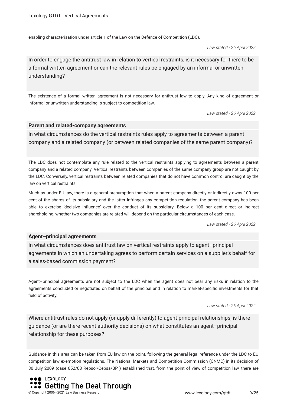enabling characterisation under article 1 of the Law on the Defence of Competition (LDC).

*Law stated - 26 April 2022*

In order to engage the antitrust law in relation to vertical restraints, is it necessary for there to be a formal written agreement or can the relevant rules be engaged by an informal or unwritten understanding?

The existence of a formal written agreement is not necessary for antitrust law to apply. Any kind of agreement or informal or unwritten understanding is subject to competition law.

*Law stated - 26 April 2022*

#### **Parent and related-company agreements**

In what circumstances do the vertical restraints rules apply to agreements between a parent company and a related company (or between related companies of the same parent company)?

The LDC does not contemplate any rule related to the vertical restraints applying to agreements between a parent company and a related company. Vertical restraints between companies of the same company group are not caught by the LDC. Conversely, vertical restraints between related companies that do not have common control are caught by the law on vertical restraints.

Much as under EU law, there is a general presumption that when a parent company directly or indirectly owns 100 per cent of the shares of its subsidiary and the latter infringes any competition regulation, the parent company has been able to exercise 'decisive infuence' over the conduct of its subsidiary. Below a 100 per cent direct or indirect shareholding, whether two companies are related will depend on the particular circumstances of each case.

*Law stated - 26 April 2022*

#### **Agent–principal agreements**

In what circumstances does antitrust law on vertical restraints apply to agent–principal agreements in which an undertaking agrees to perform certain services on a supplier's behalf for a sales-based commission payment?

Agent–principal agreements are not subject to the LDC when the agent does not bear any risks in relation to the agreements concluded or negotiated on behalf of the principal and in relation to market-specifc investments for that feld of activity.

*Law stated - 26 April 2022*

Where antitrust rules do not apply (or apply differently) to agent-principal relationships, is there guidance (or are there recent authority decisions) on what constitutes an agent–principal relationship for these purposes?

Guidance in this area can be taken from EU law on the point, following the general legal reference under the LDC to EU competition law exemption regulations. The National Markets and Competition Commission (CNMC) in its decision of 30 July 2009 (case 652/08 Repsol/Cepsa/BP ) established that, from the point of view of competition law, there are

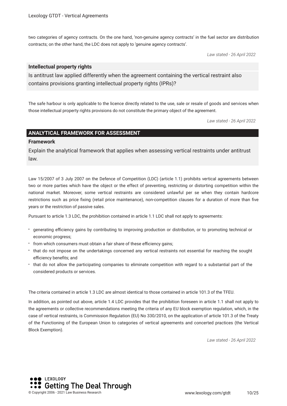two categories of agency contracts. On the one hand, 'non-genuine agency contracts' in the fuel sector are distribution contracts; on the other hand, the LDC does not apply to 'genuine agency contracts'.

*Law stated - 26 April 2022*

#### **Intellectual property rights**

Is antitrust law applied differently when the agreement containing the vertical restraint also contains provisions granting intellectual property rights (IPRs)?

The safe harbour is only applicable to the licence directly related to the use, sale or resale of goods and services when those intellectual property rights provisions do not constitute the primary object of the agreement.

*Law stated - 26 April 2022*

#### **ANALYTICAL FRAMEWORK FOR ASSESSMENT**

#### **Framework**

Explain the analytical framework that applies when assessing vertical restraints under antitrust law.

Law 15/2007 of 3 July 2007 on the Defence of Competition (LDC) (article 1.1) prohibits vertical agreements between two or more parties which have the object or the effect of preventing, restricting or distorting competition within the national market. Moreover, some vertical restraints are considered unlawful per se when they contain hardcore restrictions such as price fxing (retail price maintenance), non-competition clauses for a duration of more than fve years or the restriction of passive sales.

Pursuant to article 1.3 LDC, the prohibition contained in article 1.1 LDC shall not apply to agreements:

- generating efciency gains by contributing to improving production or distribution, or to promoting technical or economic progress;
- from which consumers must obtain a fair share of these efficiency gains;
- that do not impose on the undertakings concerned any vertical restraints not essential for reaching the sought efficiency benefits; and
- that do not allow the participating companies to eliminate competition with regard to a substantial part of the considered products or services.

The criteria contained in article 1.3 LDC are almost identical to those contained in article 101.3 of the TFEU.

In addition, as pointed out above, article 1.4 LDC provides that the prohibition foreseen in article 1.1 shall not apply to the agreements or collective recommendations meeting the criteria of any EU block exemption regulation, which, in the case of vertical restraints, is Commission Regulation (EU) No 330/2010, on the application of article 101.3 of the Treaty of the Functioning of the European Union to categories of vertical agreements and concerted practices (the Vertical Block Exemption).

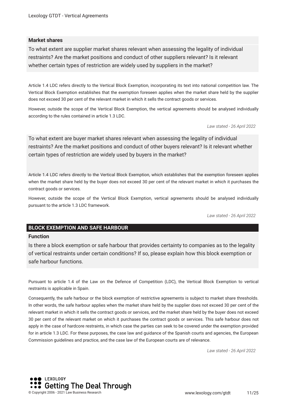#### **Market shares**

To what extent are supplier market shares relevant when assessing the legality of individual restraints? Are the market positions and conduct of other suppliers relevant? Is it relevant whether certain types of restriction are widely used by suppliers in the market?

Article 1.4 LDC refers directly to the Vertical Block Exemption, incorporating its text into national competition law. The Vertical Block Exemption establishes that the exemption foreseen applies when the market share held by the supplier does not exceed 30 per cent of the relevant market in which it sells the contract goods or services.

However, outside the scope of the Vertical Block Exemption, the vertical agreements should be analysed individually according to the rules contained in article 1.3 LDC.

*Law stated - 26 April 2022*

To what extent are buyer market shares relevant when assessing the legality of individual restraints? Are the market positions and conduct of other buyers relevant? Is it relevant whether certain types of restriction are widely used by buyers in the market?

Article 1.4 LDC refers directly to the Vertical Block Exemption, which establishes that the exemption foreseen applies when the market share held by the buyer does not exceed 30 per cent of the relevant market in which it purchases the contract goods or services.

However, outside the scope of the Vertical Block Exemption, vertical agreements should be analysed individually pursuant to the article 1.3 LDC framework.

*Law stated - 26 April 2022*

#### **BLOCK EXEMPTION AND SAFE HARBOUR**

#### **Function**

Is there a block exemption or safe harbour that provides certainty to companies as to the legality of vertical restraints under certain conditions? If so, please explain how this block exemption or safe harbour functions.

Pursuant to article 1.4 of the Law on the Defence of Competition (LDC), the Vertical Block Exemption to vertical restraints is applicable in Spain.

Consequently, the safe harbour or the block exemption of restrictive agreements is subject to market share thresholds. In other words, the safe harbour applies when the market share held by the supplier does not exceed 30 per cent of the relevant market in which it sells the contract goods or services, and the market share held by the buyer does not exceed 30 per cent of the relevant market on which it purchases the contract goods or services. This safe harbour does not apply in the case of hardcore restraints, in which case the parties can seek to be covered under the exemption provided for in article 1.3 LDC. For these purposes, the case law and guidance of the Spanish courts and agencies, the European Commission guidelines and practice, and the case law of the European courts are of relevance.

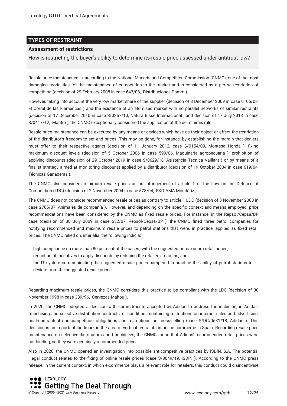#### **TYPES OF RESTRAINT**

#### **Assessment of restrictions**

How is restricting the buyer's ability to determine its resale price assessed under antitrust law?

Resale price maintenance is, according to the National Markets and Competition Commission (CNMC), one of the most damaging modalities for the maintenance of competition in the market and is considered as a per se restriction of competition (decision of 29 February 2008 in case 647/08, Distribuciones Damm ).

However, taking into account the very low market share of the supplier (decision of 3 December 2009 in case 0105/08, El Corral de las Flamencas ) and the existence of an atomised market with no parallel networks of similar restraints (decision of 17 December 2010 in case S/0257/10, Natura Bissé Internacional , and decision of 17 July 2013 in case S/0417/12, Mantra ), the CNMC exceptionally considered the application of the de minimis rule.

Resale price maintenance can be executed by any means or devices which have as their object or effect the restriction of the distributor's freedom to set end prices. This may be done, for instance, by establishing the margin that dealers must offer to their respective agents (decision of 11 January 2012, case S/0154/09, Montesa Honda ); fxing maximum discount levels (decision of 5 October 2006 in case 599/06, Maquinaria agropecuaria ); prohibition of applying discounts (decision of 29 October 2019 in case S/0629/18, Asistencia Técnica Vaillant ) or by means of a fnalist strategy aimed at monitoring discounts applied by a distributor (decision of 19 October 2004 in case 619/04, Técnicas Ganaderas ).

The CNMC also considers minimum resale prices as an infringement of article 1 of the Law on the Defence of Competition (LDC) (decision of 2 November 2004 in case 578/04, EKO-AMA Mondáriz ).

The CNMC does not consider recommended resale prices as contrary to article 1 LDC (decision of 3 November 2008 in case 2765/07, Animales de compañía ). However, and depending on the specifc context and means employed, price recommendations have been considered by the CNMC as fixed resale prices. For instance, in the Repsol/Cepsa/BP case (decision of 30 July 2009 in case 652/07, Repsol/Cepsa/BP ), the CNMC fned three petrol companies for notifying recommended and maximum resale prices to petrol stations that were, in practice, applied as fxed retail prices. The CNMC relied on, inter alia, the following indicia:

- high compliance (in more than 80 per cent of the cases) with the suggested or maximum retail prices;
- reduction of incentives to apply discounts by reducing the retailers' margins; and
- the IT system communicating the suggested resale prices hampered in practice the ability of petrol stations to deviate from the suggested resale prices.

Regarding maximum resale prices, the CNMC considers this practice to be compliant with the LDC (decision of 30 November 1998 in case 389/96, Cervezas Mahou ).

In 2020, the CNMC adopted a decision with commitments accepted by Adidas to address the inclusion, in Adidas' franchising and selective distribution contracts, of conditions containing restrictions on internet sales and advertising, post-contractual non-competition obligations and restrictions on cross-selling (case S/DC/0631/18, Adidas ). This decision is an important landmark in the area of vertical restraints in online commerce in Spain. Regarding resale price maintenance on selective distributors and franchisees, the CNMC found that Adidas' recommended retail prices were not binding, so they were genuinely recommended prices.

Also in 2020, the CNMC opened an investigation into possible anticompetitive practices by ISDIN, S.A. The potential illegal conduct relates to the fxing of online resale prices (case S/0049/19, ISDIN ). According to the CNMC press release, in the current context, in which e-commerce plays a relevant role for retailers, this conduct could disincentivise

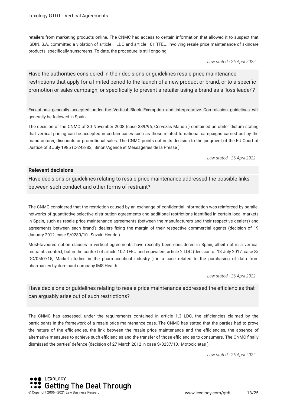retailers from marketing products online. The CNMC had access to certain information that allowed it to suspect that ISDIN, S.A. committed a violation of article 1 LDC and article 101 TFEU, involving resale price maintenance of skincare products, specifcally sunscreens. To date, the procedure is still ongoing.

*Law stated - 26 April 2022*

Have the authorities considered in their decisions or guidelines resale price maintenance restrictions that apply for a limited period to the launch of a new product or brand, or to a specifc promotion or sales campaign; or specifcally to prevent a retailer using a brand as a 'loss leader'?

Exceptions generally accepted under the Vertical Block Exemption and interpretative Commission guidelines will generally be followed in Spain.

The decision of the CNMC of 30 November 2008 (case 389/96, Cervezas Mahou ) contained an obiter dictum stating that vertical pricing can be accepted in certain cases such as those related to national campaigns carried out by the manufacturer, discounts or promotional sales. The CNMC points out in its decision to the judgment of the EU Court of Justice of 3 July 1985 (C-243/83, Binon/Agence et Messageries de la Presse ).

*Law stated - 26 April 2022*

#### **Relevant decisions**

Have decisions or guidelines relating to resale price maintenance addressed the possible links between such conduct and other forms of restraint?

The CNMC considered that the restriction caused by an exchange of confdential information was reinforced by parallel networks of quantitative selective distribution agreements and additional restrictions identifed in certain local markets in Spain, such as resale price maintenance agreements (between the manufacturers and their respective dealers) and agreements between each brand's dealers fxing the margin of their respective commercial agents (decision of 19 January 2012, case S/0280/10, Suzuki-Honda ).

Most-favoured nation clauses in vertical agreements have recently been considered in Spain, albeit not in a vertical restraints context, but in the context of article 102 TFEU and equivalent article 2 LDC (decision of 13 July 2017, case S/ DC/0567/15, Market studies in the pharmaceutical industry ) in a case related to the purchasing of data from pharmacies by dominant company IMS Health.

*Law stated - 26 April 2022*

Have decisions or quidelines relating to resale price maintenance addressed the efficiencies that can arguably arise out of such restrictions?

The CNMC has assessed, under the requirements contained in article 1.3 LDC, the efficiencies claimed by the participants in the framework of a resale price maintenance case. The CNMC has stated that the parties had to prove the nature of the efficiencies, the link between the resale price maintenance and the efficiencies, the absence of alternative measures to achieve such efficiencies and the transfer of those efficiencies to consumers. The CNMC finally dismissed the parties' defence (decision of 27 March 2012 in case S/0237/10, Motocicletas ).

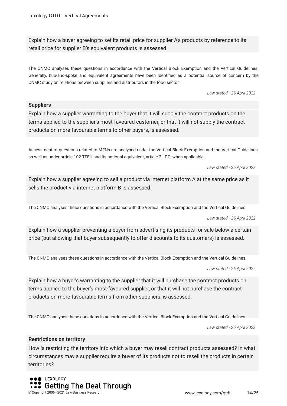Explain how a buyer agreeing to set its retail price for supplier A's products by reference to its retail price for supplier B's equivalent products is assessed.

The CNMC analyses these questions in accordance with the Vertical Block Exemption and the Vertical Guidelines. Generally, hub-and-spoke and equivalent agreements have been identifed as a potential source of concern by the CNMC study on relations between suppliers and distributors in the food sector.

*Law stated - 26 April 2022*

#### **Suppliers**

Explain how a supplier warranting to the buyer that it will supply the contract products on the terms applied to the supplier's most-favoured customer, or that it will not supply the contract products on more favourable terms to other buyers, is assessed.

Assessment of questions related to MFNs are analysed under the Vertical Block Exemption and the Vertical Guidelines, as well as under article 102 TFEU and its national equivalent, article 2 LDC, when applicable.

*Law stated - 26 April 2022*

Explain how a supplier agreeing to sell a product via internet platform A at the same price as it sells the product via internet platform B is assessed.

The CNMC analyses these questions in accordance with the Vertical Block Exemption and the Vertical Guidelines.

*Law stated - 26 April 2022*

Explain how a supplier preventing a buyer from advertising its products for sale below a certain price (but allowing that buyer subsequently to offer discounts to its customers) is assessed.

The CNMC analyses these questions in accordance with the Vertical Block Exemption and the Vertical Guidelines.

*Law stated - 26 April 2022*

Explain how a buyer's warranting to the supplier that it will purchase the contract products on terms applied to the buyer's most-favoured supplier, or that it will not purchase the contract products on more favourable terms from other suppliers, is assessed.

The CNMC analyses these questions in accordance with the Vertical Block Exemption and the Vertical Guidelines.

*Law stated - 26 April 2022*

#### **Restrictions on territory**

How is restricting the territory into which a buyer may resell contract products assessed? In what circumstances may a supplier require a buyer of its products not to resell the products in certain territories?

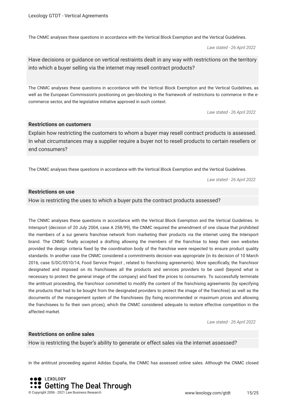The CNMC analyses these questions in accordance with the Vertical Block Exemption and the Vertical Guidelines.

*Law stated - 26 April 2022*

Have decisions or guidance on vertical restraints dealt in any way with restrictions on the territory into which a buyer selling via the internet may resell contract products?

The CNMC analyses these questions in accordance with the Vertical Block Exemption and the Vertical Guidelines, as well as the European Commission's positioning on geo-blocking in the framework of restrictions to commerce in the ecommerce sector, and the legislative initiative approved in such context.

*Law stated - 26 April 2022*

#### **Restrictions on customers**

Explain how restricting the customers to whom a buyer may resell contract products is assessed. In what circumstances may a supplier require a buyer not to resell products to certain resellers or end consumers?

The CNMC analyses these questions in accordance with the Vertical Block Exemption and the Vertical Guidelines.

*Law stated - 26 April 2022*

#### **Restrictions on use**

How is restricting the uses to which a buyer puts the contract products assessed?

The CNMC analyses these questions in accordance with the Vertical Block Exemption and the Vertical Guidelines. In Intersport (decision of 20 July 2004, case A 258/99), the CNMC required the amendment of one clause that prohibited the members of a sui generis franchise network from marketing their products via the internet using the Intersport brand. The CNMC fnally accepted a drafting allowing the members of the franchise to keep their own websites provided the design criteria fxed by the coordination body of the franchise were respected to ensure product quality standards. In another case the CNMC considered a commitments decision was appropriate (in its decision of 10 March 2016, case S/DC/0510/14, Food Service Project , related to franchising agreements). More specifcally, the franchisor designated and imposed on its franchisees all the products and services providers to be used (beyond what is necessary to protect the general image of the company) and fxed the prices to consumers. To successfully terminate the antitrust proceeding, the franchisor committed to modify the content of the franchising agreements (by specifying the products that had to be bought from the designated providers to protect the image of the franchise) as well as the documents of the management system of the franchisees (by fxing recommended or maximum prices and allowing the franchisees to fx their own prices), which the CNMC considered adequate to restore effective competition in the affected market.

*Law stated - 26 April 2022*

#### **Restrictions on online sales**

How is restricting the buyer's ability to generate or effect sales via the internet assessed?

In the antitrust proceeding against Adidas España, the CNMC has assessed online sales. Although the CNMC closed

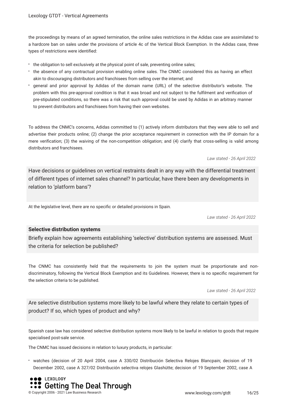the proceedings by means of an agreed termination, the online sales restrictions in the Adidas case are assimilated to a hardcore ban on sales under the provisions of article 4c of the Vertical Block Exemption. In the Adidas case, three types of restrictions were identifed:

- the obligation to sell exclusively at the physical point of sale, preventing online sales;
- the absence of any contractual provision enabling online sales. The CNMC considered this as having an effect akin to discouraging distributors and franchisees from selling over the internet; and
- general and prior approval by Adidas of the domain name (URL) of the selective distributor's website. The problem with this pre-approval condition is that it was broad and not subject to the fulflment and verifcation of pre-stipulated conditions, so there was a risk that such approval could be used by Adidas in an arbitrary manner to prevent distributors and franchisees from having their own websites.

To address the CNMC's concerns, Adidas committed to (1) actively inform distributors that they were able to sell and advertise their products online; (2) change the prior acceptance requirement in connection with the IP domain for a mere verifcation; (3) the waiving of the non-competition obligation; and (4) clarify that cross-selling is valid among distributors and franchisees.

*Law stated - 26 April 2022*

Have decisions or guidelines on vertical restraints dealt in any way with the differential treatment of different types of internet sales channel? In particular, have there been any developments in relation to 'platform bans'?

At the legislative level, there are no specifc or detailed provisions in Spain.

*Law stated - 26 April 2022*

#### **Selective distribution systems**

Briefy explain how agreements establishing 'selective' distribution systems are assessed. Must the criteria for selection be published?

The CNMC has consistently held that the requirements to join the system must be proportionate and nondiscriminatory, following the Vertical Block Exemption and its Guidelines. However, there is no specifc requirement for the selection criteria to be published.

*Law stated - 26 April 2022*

Are selective distribution systems more likely to be lawful where they relate to certain types of product? If so, which types of product and why?

Spanish case law has considered selective distribution systems more likely to be lawful in relation to goods that require specialised post-sale service.

The CNMC has issued decisions in relation to luxury products, in particular:

watches (decision of 20 April 2004, case A 330/02 Distribución Selectiva Relojes Blancpain; decision of 19 December 2002, case A 327/02 Distribución selectiva relojes Glashütte; decision of 19 September 2002, case A

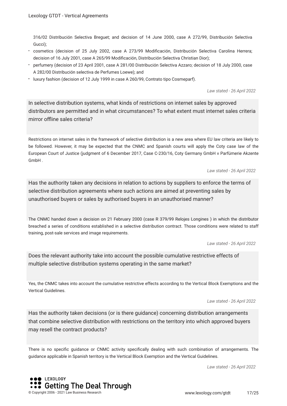316/02 Distribución Selectiva Breguet; and decision of 14 June 2000, case A 272/99, Distribución Selectiva Gucci);

- cosmetics (decision of 25 July 2002, case A 273/99 Modifcación, Distribución Selectiva Carolina Herrera; decision of 16 July 2001, case A 265/99 Modifcación, Distribución Selectiva Christian Dior);
- perfumery (decision of 23 April 2001, case A 281/00 Distribución Selectiva Azzaro; decision of 18 July 2000, case A 282/00 Distribución selectiva de Perfumes Loewe); and
- luxury fashion (decision of 12 July 1999 in case A 260/99, Contrato tipo Cosmeparf).

*Law stated - 26 April 2022*

In selective distribution systems, what kinds of restrictions on internet sales by approved distributors are permitted and in what circumstances? To what extent must internet sales criteria mirror offline sales criteria?

Restrictions on internet sales in the framework of selective distribution is a new area where EU law criteria are likely to be followed. However, it may be expected that the CNMC and Spanish courts will apply the Coty case law of the European Court of Justice (judgment of 6 December 2017, Case C-230/16, Coty Germany GmbH v Parfümerie Akzente GmbH .

*Law stated - 26 April 2022*

Has the authority taken any decisions in relation to actions by suppliers to enforce the terms of selective distribution agreements where such actions are aimed at preventing sales by unauthorised buyers or sales by authorised buyers in an unauthorised manner?

The CNMC handed down a decision on 21 February 2000 (case R 379/99 Relojes Longines ) in which the distributor breached a series of conditions established in a selective distribution contract. Those conditions were related to staff training, post-sale services and image requirements.

*Law stated - 26 April 2022*

Does the relevant authority take into account the possible cumulative restrictive effects of multiple selective distribution systems operating in the same market?

Yes, the CNMC takes into account the cumulative restrictive effects according to the Vertical Block Exemptions and the Vertical Guidelines.

*Law stated - 26 April 2022*

Has the authority taken decisions (or is there guidance) concerning distribution arrangements that combine selective distribution with restrictions on the territory into which approved buyers may resell the contract products?

There is no specifc guidance or CNMC activity specifcally dealing with such combination of arrangements. The guidance applicable in Spanish territory is the Vertical Block Exemption and the Vertical Guidelines.



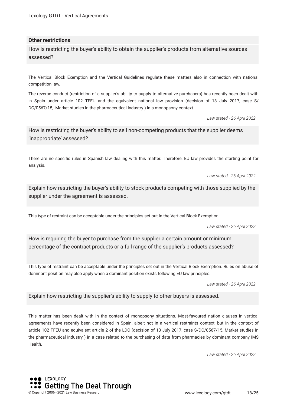#### **Other restrictions**

How is restricting the buyer's ability to obtain the supplier's products from alternative sources assessed?

The Vertical Block Exemption and the Vertical Guidelines regulate these matters also in connection with national competition law.

The reverse conduct (restriction of a supplier's ability to supply to alternative purchasers) has recently been dealt with in Spain under article 102 TFEU and the equivalent national law provision (decision of 13 July 2017, case S/ DC/0567/15, Market studies in the pharmaceutical industry ) in a monopsony context.

*Law stated - 26 April 2022*

How is restricting the buyer's ability to sell non-competing products that the supplier deems 'inappropriate' assessed?

There are no specifc rules in Spanish law dealing with this matter. Therefore, EU law provides the starting point for analysis.

*Law stated - 26 April 2022*

Explain how restricting the buyer's ability to stock products competing with those supplied by the supplier under the agreement is assessed.

This type of restraint can be acceptable under the principles set out in the Vertical Block Exemption.

*Law stated - 26 April 2022*

How is requiring the buyer to purchase from the supplier a certain amount or minimum percentage of the contract products or a full range of the supplier's products assessed?

This type of restraint can be acceptable under the principles set out in the Vertical Block Exemption. Rules on abuse of dominant position may also apply when a dominant position exists following EU law principles.

*Law stated - 26 April 2022*

Explain how restricting the supplier's ability to supply to other buyers is assessed.

This matter has been dealt with in the context of monopsony situations. Most-favoured nation clauses in vertical agreements have recently been considered in Spain, albeit not in a vertical restraints context, but in the context of article 102 TFEU and equivalent article 2 of the LDC (decision of 13 July 2017, case S/DC/0567/15, Market studies in the pharmaceutical industry ) in a case related to the purchasing of data from pharmacies by dominant company IMS Health.

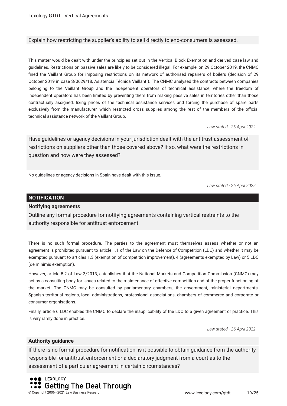#### Explain how restricting the supplier's ability to sell directly to end-consumers is assessed.

This matter would be dealt with under the principles set out in the Vertical Block Exemption and derived case law and guidelines. Restrictions on passive sales are likely to be considered illegal. For example, on 29 October 2019, the CNMC fned the Vaillant Group for imposing restrictions on its network of authorised repairers of boilers (decision of 29 October 2019 in case S/0629/18, Asistencia Técnica Vaillant ). The CNMC analysed the contracts between companies belonging to the Vaillant Group and the independent operators of technical assistance, where the freedom of independent operators has been limited by preventing them from making passive sales in territories other than those contractually assigned, fxing prices of the technical assistance services and forcing the purchase of spare parts exclusively from the manufacturer, which restricted cross supplies among the rest of the members of the official technical assistance network of the Vaillant Group.

*Law stated - 26 April 2022*

Have guidelines or agency decisions in your jurisdiction dealt with the antitrust assessment of restrictions on suppliers other than those covered above? If so, what were the restrictions in question and how were they assessed?

No guidelines or agency decisions in Spain have dealt with this issue.

*Law stated - 26 April 2022*

#### **NOTIFICATION**

#### **Notifying agreements**

Outline any formal procedure for notifying agreements containing vertical restraints to the authority responsible for antitrust enforcement.

There is no such formal procedure. The parties to the agreement must themselves assess whether or not an agreement is prohibited pursuant to article 1.1 of the Law on the Defence of Competition (LDC) and whether it may be exempted pursuant to articles 1.3 (exemption of competition improvement), 4 (agreements exempted by Law) or 5 LDC (de minimis exemption).

However, article 5.2 of Law 3/2013, establishes that the National Markets and Competition Commission (CNMC) may act as a consulting body for issues related to the maintenance of effective competition and of the proper functioning of the market. The CNMC may be consulted by parliamentary chambers, the government, ministerial departments, Spanish territorial regions, local administrations, professional associations, chambers of commerce and corporate or consumer organisations.

Finally, article 6 LDC enables the CNMC to declare the inapplicability of the LDC to a given agreement or practice. This is very rarely done in practice.

*Law stated - 26 April 2022*

#### **Authority guidance**

If there is no formal procedure for notifcation, is it possible to obtain guidance from the authority responsible for antitrust enforcement or a declaratory judgment from a court as to the assessment of a particular agreement in certain circumstances?

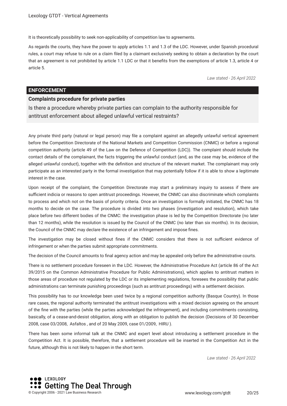It is theoretically possibility to seek non-applicability of competition law to agreements.

As regards the courts, they have the power to apply articles 1.1 and 1.3 of the LDC. However, under Spanish procedural rules, a court may refuse to rule on a claim fled by a claimant exclusively seeking to obtain a declaration by the court that an agreement is not prohibited by article 1.1 LDC or that it benefts from the exemptions of article 1.3, article 4 or article 5.

*Law stated - 26 April 2022*

#### **ENFORCEMENT**

#### **Complaints procedure for private parties**

Is there a procedure whereby private parties can complain to the authority responsible for antitrust enforcement about alleged unlawful vertical restraints?

Any private third party (natural or legal person) may fle a complaint against an allegedly unlawful vertical agreement before the Competition Directorate of the National Markets and Competition Commission (CNMC) or before a regional competition authority (article 49 of the Law on the Defence of Competition (LDC)). The complaint should include the contact details of the complainant, the facts triggering the unlawful conduct (and, as the case may be, evidence of the alleged unlawful conduct), together with the defnition and structure of the relevant market. The complainant may only participate as an interested party in the formal investigation that may potentially follow if it is able to show a legitimate interest in the case.

Upon receipt of the complaint, the Competition Directorate may start a preliminary inquiry to assess if there are sufficient indicia or reasons to open antitrust proceedings. However, the CNMC can also discriminate which complaints to process and which not on the basis of priority criteria. Once an investigation is formally initiated, the CNMC has 18 months to decide on the case. The procedure is divided into two phases (investigation and resolution), which take place before two different bodies of the CNMC: the investigation phase is led by the Competition Directorate (no later than 12 months), while the resolution is issued by the Council of the CNMC (no later than six months). In its decision, the Council of the CNMC may declare the existence of an infringement and impose fnes.

The investigation may be closed without fines if the CNMC considers that there is not sufficient evidence of infringement or when the parties submit appropriate commitments.

The decision of the Council amounts to fnal agency action and may be appealed only before the administrative courts.

There is no settlement procedure foreseen in the LDC. However, the Administrative Procedure Act (article 86 of the Act 39/2015 on the Common Administrative Procedure for Public Administrations), which applies to antitrust matters in those areas of procedure not regulated by the LDC or its implementing regulations, foresees the possibility that public administrations can terminate punishing proceedings (such as antitrust proceedings) with a settlement decision.

This possibility has to our knowledge been used twice by a regional competition authority (Basque Country). In those rare cases, the regional authority terminated the antitrust investigations with a mixed decision agreeing on the amount of the fne with the parties (while the parties acknowledged the infringement), and including commitments consisting, basically, of a cease-and-desist obligation, along with an obligation to publish the decision (Decisions of 30 December 2008, case 03/2008, Asfaltos , and of 20 May 2009, case 01/2009, HIRU ).

There has been some informal talk at the CNMC and expert level about introducing a settlement procedure in the Competition Act. It is possible, therefore, that a settlement procedure will be inserted in the Competition Act in the future, although this is not likely to happen in the short term.

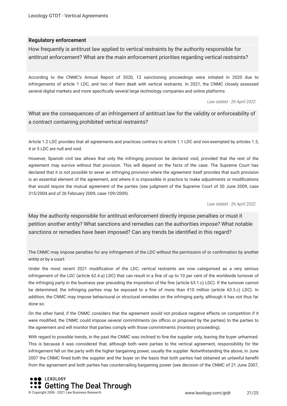#### **Regulatory enforcement**

How frequently is antitrust law applied to vertical restraints by the authority responsible for antitrust enforcement? What are the main enforcement priorities regarding vertical restraints?

According to the CNMC's Annual Report of 2020, 12 sanctioning proceedings were initiated in 2020 due to infringements of article 1 LDC, and two of them dealt with vertical restraints. In 2021, the CNMC closely assessed several digital markets and more specifcally several large technology companies and online platforms

*Law stated - 26 April 2022*

What are the consequences of an infringement of antitrust law for the validity or enforceability of a contract containing prohibited vertical restraints?

Article 1.2 LDC provides that all agreements and practices contrary to article 1.1 LDC and non-exempted by articles 1.3, 4 or 5 LDC are null and void.

However, Spanish civil law allows that only the infringing provision be declared void, provided that the rest of the agreement may survive without that provision. This will depend on the facts of the case. The Supreme Court has declared that it is not possible to sever an infringing provision where the agreement itself provides that such provision is an essential element of the agreement, and where it is impossible in practice to make adjustments or modifcations that would require the mutual agreement of the parties (see judgment of the Supreme Court of 30 June 2009, case 315/2004 and of 26 February 2009, case 109/2009).

*Law stated - 26 April 2022*

May the authority responsible for antitrust enforcement directly impose penalties or must it petition another entity? What sanctions and remedies can the authorities impose? What notable sanctions or remedies have been imposed? Can any trends be identifed in this regard?

The CNMC may impose penalties for any infringement of the LDC without the permission of or confrmation by another entity or by a court.

Under the most recent 2021 modifcation of the LDC; vertical restraints are now categorised as a very serious infringement of the LDC (article 62.4.a) LDC) that can result in a fne of up to 10 per cent of the worldwide turnover of the infringing party in the business year preceding the imposition of the fne (article 63.1.c) LDC). If the turnover cannot be determined, the infringing parties may be exposed to a fne of more than €10 million (article 63.3.c) LDC). In addition, the CNMC may impose behavioural or structural remedies on the infringing party, although it has not thus far done so.

On the other hand, if the CNMC considers that the agreement would not produce negative effects on competition if it were modified, the CNMC could impose several commitments (ex officio or proposed by the parties) to the parties to the agreement and will monitor that parties comply with those commitments (monitory proceeding).

With regard to possible trends, in the past the CNMC was inclined to fne the supplier only, leaving the buyer unharmed. This is because it was considered that, although both were parties to the vertical agreement, responsibility for the infringement fell on the party with the higher bargaining power, usually the supplier. Notwithstanding the above, in June 2007 the CNMC fned both the supplier and the buyer on the basis that both parties had obtained an unlawful beneft from the agreement and both parties has countervailing bargaining power (see decision of the CNMC of 21 June 2007,

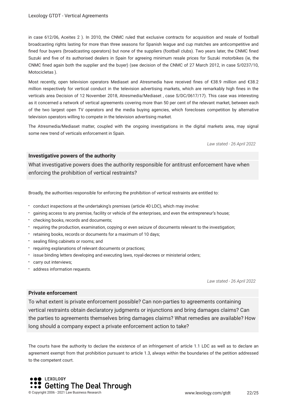in case 612/06, Aceites 2 ). In 2010, the CNMC ruled that exclusive contracts for acquisition and resale of football broadcasting rights lasting for more than three seasons for Spanish league and cup matches are anticompetitive and fned four buyers (broadcasting operators) but none of the suppliers (football clubs). Two years later, the CNMC fned Suzuki and fve of its authorised dealers in Spain for agreeing minimum resale prices for Suzuki motorbikes (ie, the CNMC fned again both the supplier and the buyer) (see decision of the CNMC of 27 March 2012, in case S/0237/10, Motocicletas ).

Most recently, open television operators Mediaset and Atresmedia have received fnes of €38.9 million and €38.2 million respectively for vertical conduct in the television advertising markets, which are remarkably high fnes in the verticals area Decision of 12 November 2018, Atresmedia/Mediaset , case S/DC/0617/17). This case was interesting as it concerned a network of vertical agreements covering more than 50 per cent of the relevant market, between each of the two largest open TV operators and the media buying agencies, which forecloses competition by alternative television operators willing to compete in the television advertising market.

The Atresmedia/Mediaset matter, coupled with the ongoing investigations in the digital markets area, may signal some new trend of verticals enforcement in Spain.

*Law stated - 26 April 2022*

#### **Investigative powers of the authority**

What investigative powers does the authority responsible for antitrust enforcement have when enforcing the prohibition of vertical restraints?

Broadly, the authorities responsible for enforcing the prohibition of vertical restraints are entitled to:

- conduct inspections at the undertaking's premises (article 40 LDC), which may involve:
- gaining access to any premise, facility or vehicle of the enterprises, and even the entrepreneur's house;
- checking books, records and documents;
- requiring the production, examination, copying or even seizure of documents relevant to the investigation;
- retaining books, records or documents for a maximum of 10 days;
- \* sealing filing cabinets or rooms; and
- requiring explanations of relevant documents or practices;
- issue binding letters developing and executing laws, royal-decrees or ministerial orders;
- carry out interviews;
- address information requests.

*Law stated - 26 April 2022*

#### **Private enforcement**

To what extent is private enforcement possible? Can non-parties to agreements containing vertical restraints obtain declaratory judgments or injunctions and bring damages claims? Can the parties to agreements themselves bring damages claims? What remedies are available? How long should a company expect a private enforcement action to take?

The courts have the authority to declare the existence of an infringement of article 1.1 LDC as well as to declare an agreement exempt from that prohibition pursuant to article 1.3, always within the boundaries of the petition addressed to the competent court.

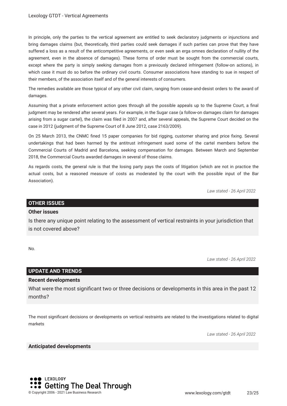In principle, only the parties to the vertical agreement are entitled to seek declaratory judgments or injunctions and bring damages claims (but, theoretically, third parties could seek damages if such parties can prove that they have suffered a loss as a result of the anticompetitive agreements, or even seek an erga omnes declaration of nullity of the agreement, even in the absence of damages). These forms of order must be sought from the commercial courts, except where the party is simply seeking damages from a previously declared infringement (follow-on actions), in which case it must do so before the ordinary civil courts. Consumer associations have standing to sue in respect of their members, of the association itself and of the general interests of consumers.

The remedies available are those typical of any other civil claim, ranging from cease-and-desist orders to the award of damages.

Assuming that a private enforcement action goes through all the possible appeals up to the Supreme Court, a fnal judgment may be rendered after several years. For example, in the Sugar case (a follow-on damages claim for damages arising from a sugar cartel), the claim was fled in 2007 and, after several appeals, the Supreme Court decided on the case in 2012 (judgment of the Supreme Court of 8 June 2012, case 2163/2009).

On 25 March 2013, the CNMC fned 15 paper companies for bid rigging, customer sharing and price fxing. Several undertakings that had been harmed by the antitrust infringement sued some of the cartel members before the Commercial Courts of Madrid and Barcelona, seeking compensation for damages. Between March and September 2018, the Commercial Courts awarded damages in several of those claims.

As regards costs, the general rule is that the losing party pays the costs of litigation (which are not in practice the actual costs, but a reasoned measure of costs as moderated by the court with the possible input of the Bar Association).

*Law stated - 26 April 2022*

#### **OTHER ISSUES**

#### **Other issues**

Is there any unique point relating to the assessment of vertical restraints in your jurisdiction that is not covered above?

No.

*Law stated - 26 April 2022*

#### **UPDATE AND TRENDS**

#### **Recent developments**

What were the most signifcant two or three decisions or developments in this area in the past 12 months?

The most signifcant decisions or developments on vertical restraints are related to the investigations related to digital markets

*Law stated - 26 April 2022*

#### **Anticipated developments**

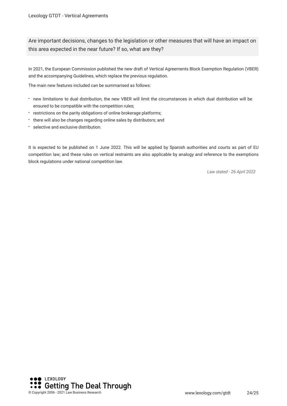Are important decisions, changes to the legislation or other measures that will have an impact on this area expected in the near future? If so, what are they?

In 2021, the European Commission published the new draft of Vertical Agreements Block Exemption Regulation (VBER) and the accompanying Guidelines, which replace the previous regulation.

The main new features included can be summarised as follows:

- new limitations to dual distribution, the new VBER will limit the circumstances in which dual distribution will be ensured to be compatible with the competition rules;
- restrictions on the parity obligations of online brokerage platforms;
- there will also be changes regarding online sales by distributors; and
- selective and exclusive distribution.

It is expected to be published on 1 June 2022. This will be applied by Spanish authorities and courts as part of EU competition law; and these rules on vertical restraints are also applicable by analogy and reference to the exemptions block regulations under national competition law.